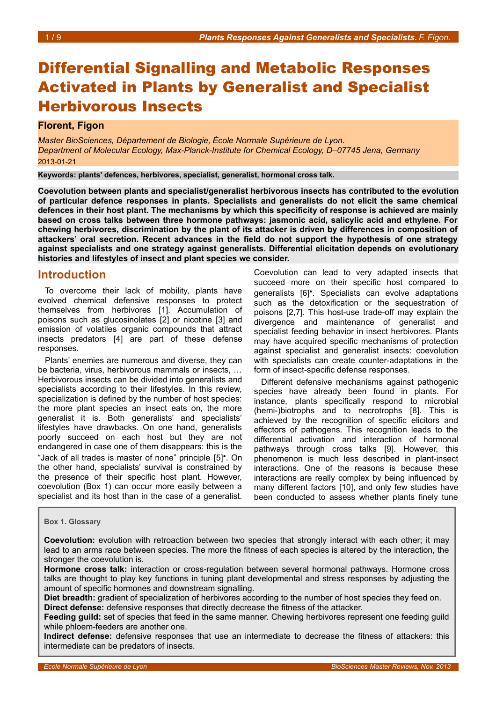# Differential Signalling and Metabolic Responses Activated in Plants by Generalist and Specialist Herbivorous Insects

## **Florent, Figon**

*Master BioSciences, Département de Biologie, École Normale Supérieure de Lyon. Department of Molecular Ecology, Max-Planck-Institute for Chemical Ecology, D–07745 Jena, Germany*  2013-01-21

**Keywords: plants' defences, herbivores, specialist, generalist, hormonal cross talk.**

**Coevolution between plants and specialist/generalist herbivorous insects has contributed to the evolution of particular defence responses in plants. Specialists and generalists do not elicit the same chemical defences in their host plant. The mechanisms by which this specificity of response is achieved are mainly based on cross talks between three hormone pathways: jasmonic acid, salicylic acid and ethylene. For chewing herbivores, discrimination by the plant of its attacker is driven by differences in composition of attackers' oral secretion. Recent advances in the field do not support the hypothesis of one strategy against specialists and one strategy against generalists. Differential elicitation depends on evolutionary histories and lifestyles of insect and plant species we consider.** 

## **Introduction**

To overcome their lack of mobility, plants have evolved chemical defensive responses to protect themselves from herbivores [1]. Accumulation of poisons such as glucosinolates [2] or nicotine [3] and emission of volatiles organic compounds that attract insects predators [4] are part of these defense responses.

Plants' enemies are numerous and diverse, they can be bacteria, virus, herbivorous mammals or insects, … Herbivorous insects can be divided into generalists and specialists according to their lifestyles. In this review, specialization is defined by the number of host species: the more plant species an insect eats on, the more generalist it is. Both generalists' and specialists' lifestyles have drawbacks. On one hand, generalists poorly succeed on each host but they are not endangered in case one of them disappears: this is the "Jack of all trades is master of none" principle [5]•. On the other hand, specialists' survival is constrained by the presence of their specific host plant. However, coevolution (Box [1\)](#page-0-0) can occur more easily between a specialist and its host than in the case of a generalist.

Coevolution can lead to very adapted insects that succeed more on their specific host compared to generalists [6]•. Specialists can evolve adaptations such as the detoxification or the sequestration of poisons [2,7]. This host-use trade-off may explain the divergence and maintenance of generalist and specialist feeding behavior in insect herbivores. Plants may have acquired specific mechanisms of protection against specialist and generalist insects: coevolution with specialists can create counter-adaptations in the form of insect-specific defense responses.

Different defensive mechanisms against pathogenic species have already been found in plants. For instance, plants specifically respond to microbial (hemi-)biotrophs and to necrotrophs [8]. This is achieved by the recognition of specific elicitors and effectors of pathogens. This recognition leads to the differential activation and interaction of hormonal pathways through cross talks [9]. However, this phenomenon is much less described in plant-insect interactions. One of the reasons is because these interactions are really complex by being influenced by many different factors [10], and only few studies have been conducted to assess whether plants finely tune

### <span id="page-0-0"></span>**Box 1. Glossary**

**Coevolution:** evolution with retroaction between two species that strongly interact with each other; it may lead to an arms race between species. The more the fitness of each species is altered by the interaction, the stronger the coevolution is.

**Hormone cross talk:** interaction or cross-regulation between several hormonal pathways. Hormone cross talks are thought to play key functions in tuning plant developmental and stress responses by adjusting the amount of specific hormones and downstream signalling.

**Diet breadth:** gradient of specialization of herbivores according to the number of host species they feed on. **Direct defense:** defensive responses that directly decrease the fitness of the attacker.

**Feeding guild:** set of species that feed in the same manner. Chewing herbivores represent one feeding guild while phloem-feeders are another one.

**Indirect defense:** defensive responses that use an intermediate to decrease the fitness of attackers: this intermediate can be predators of insects.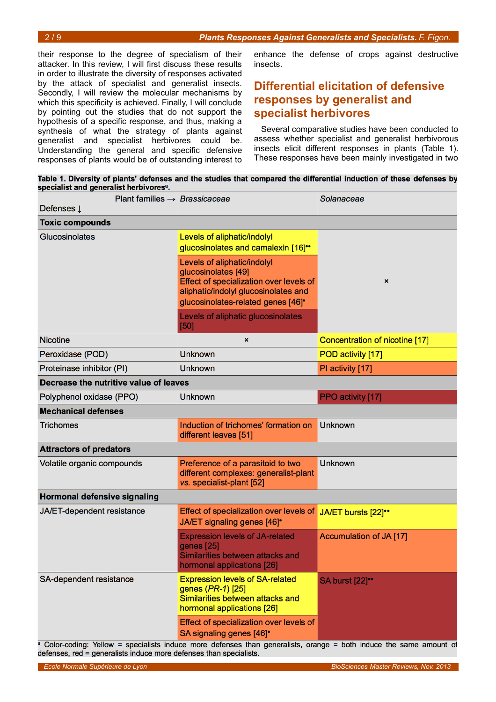their response to the degree of specialism of their attacker. In this review, I will first discuss these results in order to illustrate the diversity of responses activated by the attack of specialist and generalist insects. Secondly, I will review the molecular mechanisms by which this specificity is achieved. Finally, I will conclude by pointing out the studies that do not support the hypothesis of a specific response, and thus, making a synthesis of what the strategy of plants against generalist and specialist herbivores could be. Understanding the general and specific defensive responses of plants would be of outstanding interest to

enhance the defense of crops against destructive insects.

# **Differential elicitation of defensive responses by generalist and specialist herbivores**

Several comparative studies have been conducted to assess whether specialist and generalist herbivorous insects elicit different responses in plants (Table 1). These responses have been mainly investigated in two

Table 1. Diversity of plants' defenses and the studies that compared the differential induction of these defenses by specialist and generalist herbivores<sup>a</sup>.

| Defenses $\downarrow$                  | Plant families $\rightarrow$ Brassicaceae                                                                                                                                                            | Solanaceae                     |
|----------------------------------------|------------------------------------------------------------------------------------------------------------------------------------------------------------------------------------------------------|--------------------------------|
| <b>Toxic compounds</b>                 |                                                                                                                                                                                                      |                                |
| <b>Glucosinolates</b>                  | Levels of aliphatic/indolyl<br>glucosinolates and camalexin [16]"                                                                                                                                    |                                |
|                                        | Levels of aliphatic/indolyl<br>glucosinolates [49]<br>Effect of specialization over levels of<br>aliphatic/indolyl glucosinolates and<br>glucosinolates-related genes [46] <sup>•</sup>              | $\boldsymbol{\mathsf{x}}$      |
|                                        | Levels of aliphatic glucosinolates<br>[50]                                                                                                                                                           |                                |
| <b>Nicotine</b>                        | $\boldsymbol{\mathsf{x}}$                                                                                                                                                                            | Concentration of nicotine [17] |
| Peroxidase (POD)                       | <b>Unknown</b>                                                                                                                                                                                       | POD activity [17]              |
| Proteinase inhibitor (PI)              | <b>Unknown</b>                                                                                                                                                                                       | PI activity [17]               |
| Decrease the nutritive value of leaves |                                                                                                                                                                                                      |                                |
| Polyphenol oxidase (PPO)               | <b>Unknown</b>                                                                                                                                                                                       | PPO activity [17]              |
| <b>Mechanical defenses</b>             |                                                                                                                                                                                                      |                                |
| <b>Trichomes</b>                       | Induction of trichomes' formation on<br>different leaves [51]                                                                                                                                        | <b>Unknown</b>                 |
| <b>Attractors of predators</b>         |                                                                                                                                                                                                      |                                |
| Volatile organic compounds             | Preference of a parasitoid to two<br>different complexes: generalist-plant<br>vs. specialist-plant [52]                                                                                              | <b>Unknown</b>                 |
| <b>Hormonal defensive signaling</b>    |                                                                                                                                                                                                      |                                |
| JA/ET-dependent resistance             | Effect of specialization over levels of<br>JA/ET signaling genes [46] <sup>•</sup>                                                                                                                   | JA/ET bursts [22]"             |
|                                        | <b>Expression levels of JA-related</b><br>genes [25]<br>Similarities between attacks and<br>hormonal applications [26]                                                                               | Accumulation of JA [17]        |
| SA-dependent resistance                | <b>Expression levels of SA-related</b><br>genes (PR-1) [25]<br>Similarities between attacks and<br>hormonal applications [26]                                                                        | <b>SA burst [22]</b> "         |
|                                        | Effect of specialization over levels of<br><b>SA signaling genes [46]</b>                                                                                                                            |                                |
|                                        | <sup>a</sup> Color-coding: Yellow = specialists induce more defenses than generalists, orange = both induce the same amount of<br>defenses, red = generalists induce more defenses than specialists. |                                |

*Ecole Normale Supérieure de Lyon BioSciences Master Reviews, Nov. 2013*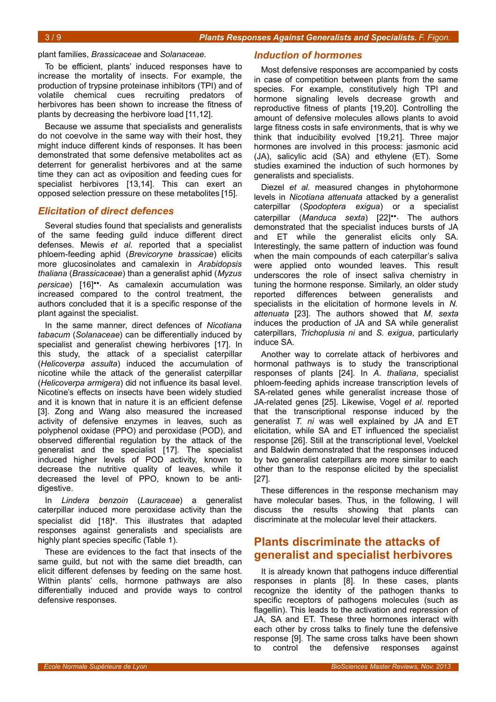### plant families, *Brassicaceae* and *Solanaceae*.

To be efficient, plants' induced responses have to increase the mortality of insects. For example, the production of trypsine proteinase inhibitors (TPI) and of volatile chemical cues recruiting predators of herbivores has been shown to increase the fitness of plants by decreasing the herbivore load [11,12].

Because we assume that specialists and generalists do not coevolve in the same way with their host, they might induce different kinds of responses. It has been demonstrated that some defensive metabolites act as deterrent for generalist herbivores and at the same time they can act as oviposition and feeding cues for specialist herbivores [13,14]. This can exert an opposed selection pressure on these metabolites [15].

## *Elicitation of direct defences*

Several studies found that specialists and generalists of the same feeding guild induce different direct defenses. Mewis *et al.* reported that a specialist phloem-feeding aphid (*Brevicoryne brassicae*) elicits more glucosinolates and camalexin in *Arabidopsis thaliana* (*Brassicaceae*) than a generalist aphid (*Myzus persicae*) [16]••. As camalexin accumulation was increased compared to the control treatment, the authors concluded that it is a specific response of the plant against the specialist.

In the same manner, direct defences of *Nicotiana tabacum* (*Solanaceae*) can be differentially induced by specialist and generalist chewing herbivores [17]. In this study, the attack of a specialist caterpillar (*Helicoverpa assulta*) induced the accumulation of nicotine while the attack of the generalist caterpillar (*Helicoverpa armigera*) did not influence its basal level. Nicotine's effects on insects have been widely studied and it is known that in nature it is an efficient defense [3]. Zong and Wang also measured the increased activity of defensive enzymes in leaves, such as polyphenol oxidase (PPO) and peroxidase (POD), and observed differential regulation by the attack of the generalist and the specialist [17]. The specialist induced higher levels of POD activity, known to decrease the nutritive quality of leaves, while it decreased the level of PPO, known to be antidigestive.

In *Lindera benzoin* (*Lauraceae*) a generalist caterpillar induced more peroxidase activity than the specialist did [18]•. This illustrates that adapted responses against generalists and specialists are highly plant species specific (Table 1).

These are evidences to the fact that insects of the same guild, but not with the same diet breadth, can elicit different defenses by feeding on the same host. Within plants' cells, hormone pathways are also differentially induced and provide ways to control defensive responses.

## *Induction of hormones*

Most defensive responses are accompanied by costs in case of competition between plants from the same species. For example, constitutively high TPI and hormone signaling levels decrease growth and reproductive fitness of plants [19,20]. Controlling the amount of defensive molecules allows plants to avoid large fitness costs in safe environments, that is why we think that inducibility evolved [19,21]. Three major hormones are involved in this process: jasmonic acid (JA), salicylic acid (SA) and ethylene (ET). Some studies examined the induction of such hormones by generalists and specialists.

Diezel *et al.* measured changes in phytohormone levels in *Nicotiana attenuata* attacked by a generalist caterpillar (*Spodoptera exigua*) or a specialist caterpillar (*Manduca sexta*) [22]••. The authors demonstrated that the specialist induces bursts of JA and ET while the generalist elicits only SA. Interestingly, the same pattern of induction was found when the main compounds of each caterpillar's saliva were applied onto wounded leaves. This result underscores the role of insect saliva chemistry in tuning the hormone response. Similarly, an older study reported differences between generalists and specialists in the elicitation of hormone levels in *N. attenuata* [23]. The authors showed that *M. sexta* induces the production of JA and SA while generalist caterpillars, *Trichoplusia ni* and *S. exigua*, particularly induce SA.

Another way to correlate attack of herbivores and hormonal pathways is to study the transcriptional responses of plants [24]. In *A. thaliana*, specialist phloem-feeding aphids increase transcription levels of SA-related genes while generalist increase those of JA-related genes [25]. Likewise, Vogel *et al.* reported that the transcriptional response induced by the generalist *T. ni* was well explained by JA and ET elicitation, while SA and ET influenced the specialist response [26]. Still at the transcriptional level, Voelckel and Baldwin demonstrated that the responses induced by two generalist caterpillars are more similar to each other than to the response elicited by the specialist [27].

These differences in the response mechanism may have molecular bases. Thus, in the following, I will discuss the results showing that plants can discriminate at the molecular level their attackers.

# **Plants discriminate the attacks of generalist and specialist herbivores**

It is already known that pathogens induce differential responses in plants [8]. In these cases, plants recognize the identity of the pathogen thanks to specific receptors of pathogens molecules (such as flagellin). This leads to the activation and repression of JA, SA and ET. These three hormones interact with each other by cross talks to finely tune the defensive response [9]. The same cross talks have been shown to control the defensive responses against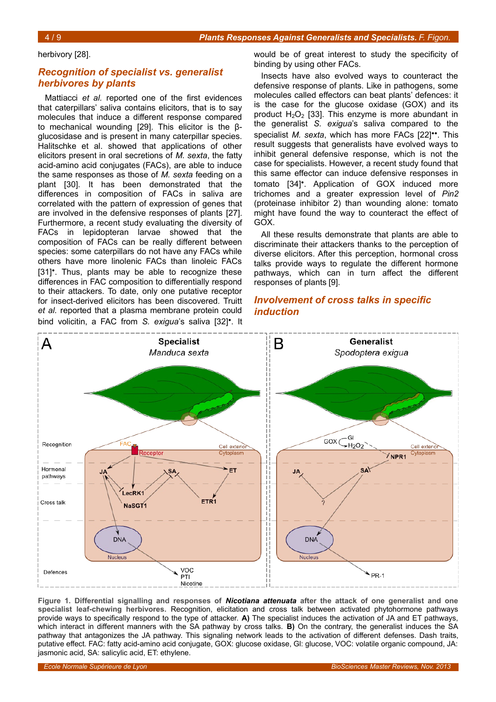### herbivory [28].

## *Recognition of specialist vs. generalist herbivores by plants*

Mattiacci *et al.* reported one of the first evidences that caterpillars' saliva contains elicitors, that is to say molecules that induce a different response compared to mechanical wounding [29]. This elicitor is the βglucosidase and is present in many caterpillar species. Halitschke et al. showed that applications of other elicitors present in oral secretions of *M. sexta*, the fatty acid-amino acid conjugates (FACs), are able to induce the same responses as those of *M. sexta* feeding on a plant [30]. It has been demonstrated that the differences in composition of FACs in saliva are correlated with the pattern of expression of genes that are involved in the defensive responses of plants [27]. Furthermore, a recent study evaluating the diversity of FACs in lepidopteran larvae showed that the composition of FACs can be really different between species: some caterpillars do not have any FACs while others have more linolenic FACs than linoleic FACs [31]<sup>•</sup>. Thus, plants may be able to recognize these differences in FAC composition to differentially respond to their attackers. To date, only one putative receptor for insect-derived elicitors has been discovered. Truitt *et al.* reported that a plasma membrane protein could bind volicitin, a FAC from *S. exigua*'s saliva [32]•. It

would be of great interest to study the specificity of binding by using other FACs.

Insects have also evolved ways to counteract the defensive response of plants. Like in pathogens, some molecules called effectors can beat plants' defences: it is the case for the glucose oxidase (GOX) and its product  $H_2O_2$  [33]. This enzyme is more abundant in the generalist *S. exigua*'s saliva compared to the specialist *M. sexta*, which has more FACs [22]••. This result suggests that generalists have evolved ways to inhibit general defensive response, which is not the case for specialists. However, a recent study found that this same effector can induce defensive responses in tomato [34]•. Application of GOX induced more trichomes and a greater expression level of *Pin2* (proteinase inhibitor 2) than wounding alone: tomato might have found the way to counteract the effect of GOX.

All these results demonstrate that plants are able to discriminate their attackers thanks to the perception of diverse elicitors. After this perception, hormonal cross talks provide ways to regulate the different hormone pathways, which can in turn affect the different responses of plants [9].

## *Involvement of cross talks in specific induction*



<span id="page-3-0"></span>**Figure 1. Differential signalling and responses of** *Nicotiana attenuata* **after the attack of one generalist and one specialist leaf-chewing herbivores.** Recognition, elicitation and cross talk between activated phytohormone pathways provide ways to specifically respond to the type of attacker. **A)** The specialist induces the activation of JA and ET pathways, which interact in different manners with the SA pathway by cross talks. **B)** On the contrary, the generalist induces the SA pathway that antagonizes the JA pathway. This signaling network leads to the activation of different defenses. Dash traits, putative effect. FAC: fatty acid-amino acid conjugate, GOX: glucose oxidase, Gl: glucose, VOC: volatile organic compound, JA: jasmonic acid, SA: salicylic acid, ET: ethylene.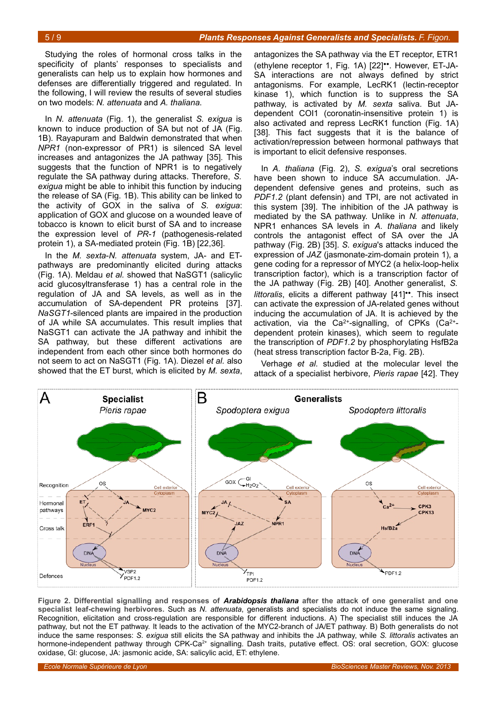Studying the roles of hormonal cross talks in the specificity of plants' responses to specialists and generalists can help us to explain how hormones and defenses are differentially triggered and regulated. In the following, I will review the results of several studies on two models: *N. attenuata* and *A. thaliana*.

In *N. attenuata* (Fig. [1\)](#page-3-0), the generalist *S. exigua* is known to induce production of SA but not of JA (Fig. [1B](#page-3-0)). Rayapuram and Baldwin demonstrated that when *NPR1* (non-expressor of PR1) is silenced SA level increases and antagonizes the JA pathway [35]. This suggests that the function of NPR1 is to negatively regulate the SA pathway during attacks. Therefore, *S. exigua* might be able to inhibit this function by inducing the release of SA (Fig. [1B](#page-3-0)). This ability can be linked to the activity of GOX in the saliva of *S. exigua*: application of GOX and glucose on a wounded leave of tobacco is known to elicit burst of SA and to increase the expression level of *PR-1* (pathogenesis-related protein 1), a SA-mediated protein (Fig. [1B](#page-3-0)) [22,36].

In the *M. sexta*-*N. attenuata* system, JA- and ETpathways are predominantly elicited during attacks (Fig. [1A](#page-3-0)). Meldau *et al.* showed that NaSGT1 (salicylic acid glucosyltransferase 1) has a central role in the regulation of JA and SA levels, as well as in the accumulation of SA-dependent PR proteins [37]. *NaSGT1*-silenced plants are impaired in the production of JA while SA accumulates. This result implies that NaSGT1 can activate the JA pathway and inhibit the SA pathway, but these different activations are independent from each other since both hormones do not seem to act on NaSGT1 (Fig. [1A](#page-3-0)). Diezel *et al.* also showed that the ET burst, which is elicited by *M. sexta*,

antagonizes the SA pathway via the ET receptor, ETR1 (ethylene receptor 1, Fig. [1A](#page-3-0)) [22]••. However, ET-JA-SA interactions are not always defined by strict antagonisms. For example, LecRK1 (lectin-receptor kinase 1), which function is to suppress the SA pathway, is activated by *M. sexta* saliva. But JAdependent COI1 (coronatin-insensitive protein 1) is also activated and repress LecRK1 function (Fig. [1A](#page-3-0)) [38]. This fact suggests that it is the balance of activation/repression between hormonal pathways that is important to elicit defensive responses.

In *A. thaliana* (Fig. [2\)](#page-4-0), *S. exigua*'s oral secretions have been shown to induce SA accumulation. JAdependent defensive genes and proteins, such as *PDF1.2* (plant defensin) and TPI, are not activated in this system [39]. The inhibition of the JA pathway is mediated by the SA pathway. Unlike in *N. attenuata*, NPR1 enhances SA levels in *A. thaliana* and likely controls the antagonist effect of SA over the JA pathway (Fig. [2B](#page-4-0)) [35]. *S. exigua*'s attacks induced the expression of *JAZ* (jasmonate-zim-domain protein 1), a gene coding for a repressor of MYC2 (a helix-loop-helix transcription factor), which is a transcription factor of the JA pathway (Fig. [2B](#page-4-0)) [40]. Another generalist, *S. littoralis*, elicits a different pathway [41]••. This insect can activate the expression of JA-related genes without inducing the accumulation of JA. It is achieved by the activation, via the Ca<sup>2+</sup>-signalling, of CPKs (Ca<sup>2+</sup>dependent protein kinases), which seem to regulate the transcription of *PDF1.2* by phosphorylating HsfB2a (heat stress transcription factor B-2a, Fig. [2B](#page-4-0)).

Verhage *et al.* studied at the molecular level the attack of a specialist herbivore, *Pieris rapae* [42]. They



<span id="page-4-0"></span>**Figure 2. Differential signalling and responses of** *Arabidopsis thaliana* **after the attack of one generalist and one specialist leaf-chewing herbivores.** Such as *N. attenuata*, generalists and specialists do not induce the same signaling. Recognition, elicitation and cross-regulation are responsible for different inductions. A) The specialist still induces the JA pathway, but not the ET pathway. It leads to the activation of the MYC2-branch of JA/ET pathway. B) Both generalists do not induce the same responses: *S. exigua* still elicits the SA pathway and inhibits the JA pathway, while *S. littoralis* activates an hormone-independent pathway through CPK-Ca<sup>2+</sup> signalling. Dash traits, putative effect. OS: oral secretion, GOX: glucose oxidase, Gl: glucose, JA: jasmonic acide, SA: salicylic acid, ET: ethylene.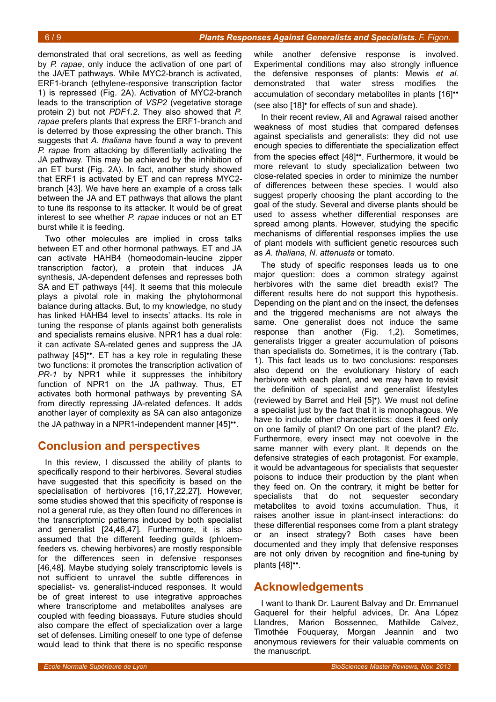demonstrated that oral secretions, as well as feeding by *P. rapae*, only induce the activation of one part of the JA/ET pathways. While MYC2-branch is activated, ERF1-branch (ethylene-responsive transcription factor 1) is repressed (Fig. [2A](#page-4-0)). Activation of MYC2-branch leads to the transcription of *VSP2* (vegetative storage protein 2) but not *PDF1.2*. They also showed that *P. rapae* prefers plants that express the ERF1-branch and is deterred by those expressing the other branch. This suggests that *A. thaliana* have found a way to prevent *P. rapae* from attacking by differentially activating the JA pathway. This may be achieved by the inhibition of an ET burst (Fig. [2A](#page-4-0)). In fact, another study showed that ERF1 is activated by ET and can repress MYC2 branch [43]. We have here an example of a cross talk between the JA and ET pathways that allows the plant to tune its response to its attacker. It would be of great interest to see whether *P. rapae* induces or not an ET burst while it is feeding.

Two other molecules are implied in cross talks between ET and other hormonal pathways. ET and JA can activate HAHB4 (homeodomain-leucine zipper transcription factor), a protein that induces JA synthesis, JA-dependent defenses and represses both SA and ET pathways [44]. It seems that this molecule plays a pivotal role in making the phytohormonal balance during attacks. But, to my knowledge, no study has linked HAHB4 level to insects' attacks. Its role in tuning the response of plants against both generalists and specialists remains elusive. NPR1 has a dual role: it can activate SA-related genes and suppress the JA pathway [45]••. ET has a key role in regulating these two functions: it promotes the transcription activation of *PR-1* by NPR1 while it suppresses the inhibitory function of NPR1 on the JA pathway. Thus, ET activates both hormonal pathways by preventing SA from directly repressing JA-related defences. It adds another layer of complexity as SA can also antagonize the JA pathway in a NPR1-independent manner [45]••.

# **Conclusion and perspectives**

In this review, I discussed the ability of plants to specifically respond to their herbivores. Several studies have suggested that this specificity is based on the specialisation of herbivores [16,17,22,27]. However, some studies showed that this specificity of response is not a general rule, as they often found no differences in the transcriptomic patterns induced by both specialist and generalist [24,46,47]. Furthermore, it is also assumed that the different feeding guilds (phloemfeeders vs. chewing herbivores) are mostly responsible for the differences seen in defensive responses [46,48]. Maybe studying solely transcriptomic levels is not sufficient to unravel the subtle differences in specialist- vs. generalist-induced responses. It would be of great interest to use integrative approaches where transcriptome and metabolites analyses are coupled with feeding bioassays. Future studies should also compare the effect of specialization over a large set of defenses. Limiting oneself to one type of defense would lead to think that there is no specific response

while another defensive response is involved. Experimental conditions may also strongly influence the defensive responses of plants: Mewis *et al.* demonstrated that water stress modifies the accumulation of secondary metabolites in plants [16]•• (see also [18]• for effects of sun and shade).

In their recent review, Ali and Agrawal raised another weakness of most studies that compared defenses against specialists and generalists: they did not use enough species to differentiate the specialization effect from the species effect [48]••. Furthermore, it would be more relevant to study specialization between two close-related species in order to minimize the number of differences between these species. I would also suggest properly choosing the plant according to the goal of the study. Several and diverse plants should be used to assess whether differential responses are spread among plants. However, studying the specific mechanisms of differential responses implies the use of plant models with sufficient genetic resources such as *A. thaliana*, *N. attenuata* or tomato.

The study of specific responses leads us to one major question: does a common strategy against herbivores with the same diet breadth exist? The different results here do not support this hypothesis. Depending on the plant and on the insect, the defenses and the triggered mechanisms are not always the same. One generalist does not induce the same response than another (Fig. [1](#page-3-0)[,2\)](#page-4-0). Sometimes, generalists trigger a greater accumulation of poisons than specialists do. Sometimes, it is the contrary (Tab. 1). This fact leads us to two conclusions: responses also depend on the evolutionary history of each herbivore with each plant, and we may have to revisit the definition of specialist and generalist lifestyles (reviewed by Barret and Heil [5]•). We must not define a specialist just by the fact that it is monophagous. We have to include other characteristics: does it feed only on one family of plant? On one part of the plant? *Etc*. Furthermore, every insect may not coevolve in the same manner with every plant. It depends on the defensive strategies of each protagonist. For example, it would be advantageous for specialists that sequester poisons to induce their production by the plant when they feed on. On the contrary, it might be better for specialists that do not sequester secondary metabolites to avoid toxins accumulation. Thus, it raises another issue in plant-insect interactions: do these differential responses come from a plant strategy or an insect strategy? Both cases have been documented and they imply that defensive responses are not only driven by recognition and fine-tuning by plants [48]<sup>\*\*</sup>.

# **Acknowledgements**

I want to thank Dr. Laurent Balvay and Dr. Emmanuel Gaquerel for their helpful advices, Dr. Ana López Llandres, Marion Bossennec, Mathilde Calvez, Timothée Fouqueray, Morgan Jeannin and two anonymous reviewers for their valuable comments on the manuscript.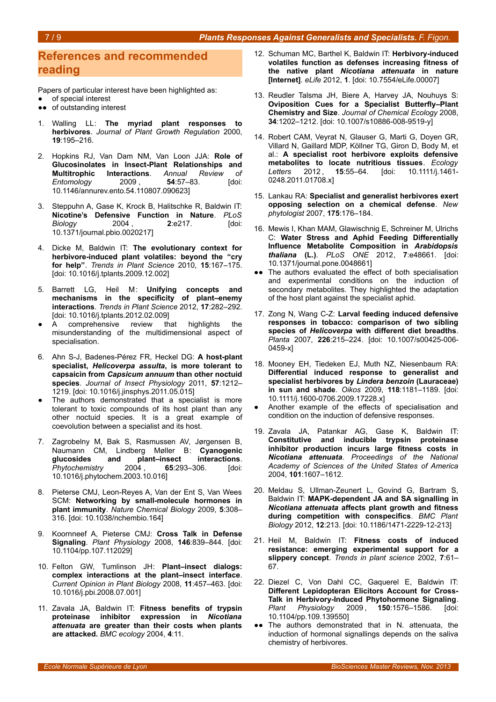## **References and recommended reading**

Papers of particular interest have been highlighted as:

- of special interest
- ●● of outstanding interest
- 1. Walling LL: **The myriad plant responses to herbivores**. *Journal of Plant Growth Regulation* 2000, **19**:195–216.
- 2. Hopkins RJ, Van Dam NM, Van Loon JJA: **Role of Glucosinolates in Insect-Plant Relationships and Multitrophic Interactions**. *Annual Review of Entomology* 2009 , **54**:57–83. [doi: 10.1146/annurev.ento.54.110807.090623]
- 3. Steppuhn A, Gase K, Krock B, Halitschke R, Baldwin IT: **Nicotine's Defensive Function in Nature**. *PLoS Biology* 2004 , **2**:e217. [doi: 10.1371/journal.pbio.0020217]
- 4. Dicke M, Baldwin IT: **The evolutionary context for herbivore-induced plant volatiles: beyond the "cry for help"**. *Trends in Plant Science* 2010, **15**:167–175. [doi: 10.1016/j.tplants.2009.12.002]
- 5. Barrett LG, Heil M: **Unifying concepts and mechanisms in the specificity of plant–enemy interactions**. *Trends in Plant Science* 2012, **17**:282–292. [doi: 10.1016/j.tplants.2012.02.009]
- A comprehensive review that highlights the misunderstanding of the multidimensional aspect of specialisation.
- 6. Ahn S-J, Badenes-Pérez FR, Heckel DG: **A host-plant specialist,** *Helicoverpa assulta***, is more tolerant to capsaicin from** *Capsicum annuum* **than other noctuid species**. *Journal of Insect Physiology* 2011, **57**:1212– 1219. [doi: 10.1016/j.jinsphys.2011.05.015]
- The authors demonstrated that a specialist is more tolerant to toxic compounds of its host plant than any other noctuid species. It is a great example of coevolution between a specialist and its host.
- 7. Zagrobelny M, Bak S, Rasmussen AV, Jørgensen B, Naumann CM, Lindberg Møller B: **Cyanogenic** plant–insect interactions. *Phytochemistry* 2004 , **65**:293–306. [doi: 10.1016/j.phytochem.2003.10.016]
- 8. Pieterse CMJ, Leon-Reyes A, Van der Ent S, Van Wees SCM: **Networking by small-molecule hormones in plant immunity**. *Nature Chemical Biology* 2009, **5**:308– 316. [doi: 10.1038/nchembio.164]
- 9. Koornneef A, Pieterse CMJ: **Cross Talk in Defense Signaling**. *Plant Physiology* 2008, **146**:839–844. [doi: 10.1104/pp.107.112029]
- 10. Felton GW, Tumlinson JH: **Plant–insect dialogs: complex interactions at the plant–insect interface**. *Current Opinion in Plant Biology* 2008, **11**:457–463. [doi: 10.1016/j.pbi.2008.07.001]
- 11. Zavala JA, Baldwin IT: **Fitness benefits of trypsin proteinase inhibitor expression in** *Nicotiana attenuata* **are greater than their costs when plants are attacked.** *BMC ecology* 2004, **4**:11.
- 12. Schuman MC, Barthel K, Baldwin IT: **Herbivory-induced volatiles function as defenses increasing fitness of the native plant** *Nicotiana attenuata* **in nature [Internet]**. *eLife* 2012, **1**. [doi: 10.7554/eLife.00007]
- 13. Reudler Talsma JH, Biere A, Harvey JA, Nouhuys S: **Oviposition Cues for a Specialist Butterfly–Plant Chemistry and Size**. *Journal of Chemical Ecology* 2008, **34**:1202–1212. [doi: 10.1007/s10886-008-9519-y]
- 14. Robert CAM, Veyrat N, Glauser G, Marti G, Doyen GR, Villard N, Gaillard MDP, Köllner TG, Giron D, Body M, et al.: **A specialist root herbivore exploits defensive metabolites to locate nutritious tissues**. *Ecology Letters* 2012 , **15**:55–64. [doi: 10.1111/j.1461- 0248.2011.01708.x]
- 15. Lankau RA: **Specialist and generalist herbivores exert opposing selection on a chemical defense**. *New phytologist* 2007, **175**:176–184.
- 16. Mewis I, Khan MAM, Glawischnig E, Schreiner M, Ulrichs C: **Water Stress and Aphid Feeding Differentially Influence Metabolite Composition in** *Arabidopsis thaliana* **(L.)**. *PLoS ONE* 2012, **7**:e48661. [doi: 10.1371/journal.pone.0048661]
- •• The authors evaluated the effect of both specialisation and experimental conditions on the induction of secondary metabolites. They highlighted the adaptation of the host plant against the specialist aphid.
- 17. Zong N, Wang C-Z: **Larval feeding induced defensive responses in tobacco: comparison of two sibling species of** *Helicoverpa* **with different diet breadths**. *Planta* 2007, **226**:215–224. [doi: 10.1007/s00425-006- 0459-x]
- 18. Mooney EH, Tiedeken EJ, Muth NZ, Niesenbaum RA: **Differential induced response to generalist and specialist herbivores by** *Lindera benzoin* **(Lauraceae) in sun and shade**. *Oikos* 2009, **118**:1181–1189. [doi: 10.1111/j.1600-0706.2009.17228.x]
- Another example of the effects of specialisation and condition on the induction of defensive responses.
- 19. Zavala JA, Patankar AG, Gase K, Baldwin IT: **Constitutive and inducible trypsin proteinase inhibitor production incurs large fitness costs in** *Nicotiana attenuata*. *Proceedings of the National Academy of Sciences of the United States of America* 2004, **101**:1607–1612.
- 20. Meldau S, Ullman-Zeunert L, Govind G, Bartram S, Baldwin IT: **MAPK-dependent JA and SA signalling in** *Nicotiana attenuata* **affects plant growth and fitness during competition with conspecifics**. *BMC Plant Biology* 2012, **12**:213. [doi: 10.1186/1471-2229-12-213]
- 21. Heil M, Baldwin IT: **Fitness costs of induced resistance: emerging experimental support for a slippery concept**. *Trends in plant science* 2002, **7**:61– 67.
- 22. Diezel C, Von Dahl CC, Gaquerel E, Baldwin IT: **Different Lepidopteran Elicitors Account for Cross-Talk in Herbivory-Induced Phytohormone Signaling**. *Plant Physiology* 2009 , **150**:1576–1586. [doi: 10.1104/pp.109.139550]
- •• The authors demonstrated that in N. attenuata, the induction of hormonal signallings depends on the saliva chemistry of herbivores.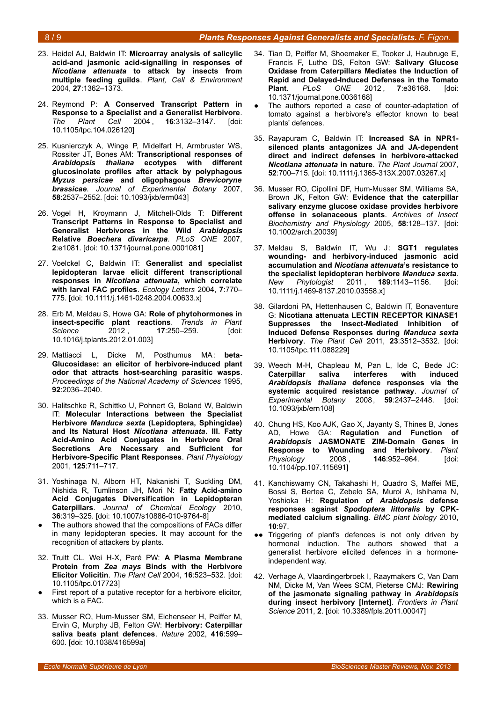### 8 / 9 *Plants Responses Against Generalists and Specialists. F. Figon.*

- 23. Heidel AJ, Baldwin IT: **Microarray analysis of salicylic acid-and jasmonic acid-signalling in responses of** *Nicotiana attenuata* **to attack by insects from multiple feeding guilds**. *Plant, Cell & Environment* 2004, **27**:1362–1373.
- 24. Reymond P: **A Conserved Transcript Pattern in Response to a Specialist and a Generalist Herbivore**. *The Plant Cell* 2004 , **16**:3132–3147. [doi: 10.1105/tpc.104.026120]
- 25. Kusnierczyk A, Winge P, Midelfart H, Armbruster WS, Rossiter JT, Bones AM: **Transcriptional responses of** *Arabidopsis thaliana* **ecotypes with different glucosinolate profiles after attack by polyphagous** *Myzus persicae* **and oligophagous** *Brevicoryne brassicae*. *Journal of Experimental Botany* 2007, **58**:2537–2552. [doi: 10.1093/jxb/erm043]
- 26. Vogel H, Kroymann J, Mitchell-Olds T: **Different Transcript Patterns in Response to Specialist and Generalist Herbivores in the Wild** *Arabidopsis* **Relative** *Boechera divaricarpa*. *PLoS ONE* 2007, **2**:e1081. [doi: 10.1371/journal.pone.0001081]
- 27. Voelckel C, Baldwin IT: **Generalist and specialist lepidopteran larvae elicit different transcriptional responses in** *Nicotiana attenuata***, which correlate with larval FAC profiles**. *Ecology Letters* 2004, **7**:770– 775. [doi: 10.1111/j.1461-0248.2004.00633.x]
- 28. Erb M, Meldau S, Howe GA: **Role of phytohormones in insect-specific plant reactions**. *Trends in Plant Science* 2012 , **17**:250–259. [doi: 10.1016/j.tplants.2012.01.003]
- 29. Mattiacci L, Dicke M, Posthumus MA: **beta-Glucosidase: an elicitor of herbivore-induced plant odor that attracts host-searching parasitic wasps**. *Proceedings of the National Academy of Sciences* 1995, **92**:2036–2040.
- 30. Halitschke R, Schittko U, Pohnert G, Boland W, Baldwin IT: **Molecular Interactions between the Specialist Herbivore** *Manduca sexta* **(Lepidoptera, Sphingidae) and Its Natural Host** *Nicotiana attenuata***. III. Fatty Acid-Amino Acid Conjugates in Herbivore Oral Secretions Are Necessary and Sufficient for Herbivore-Specific Plant Responses**. *Plant Physiology* 2001, **125**:711–717.
- 31. Yoshinaga N, Alborn HT, Nakanishi T, Suckling DM, Nishida R, Tumlinson JH, Mori N: **Fatty Acid-amino Acid Conjugates Diversification in Lepidopteran Caterpillars**. *Journal of Chemical Ecology* 2010, **36**:319–325. [doi: 10.1007/s10886-010-9764-8]
- The authors showed that the compositions of FACs differ in many lepidopteran species. It may account for the recognition of attackers by plants.
- 32. Truitt CL, Wei H-X, Paré PW: **A Plasma Membrane Protein from** *Zea mays* **Binds with the Herbivore Elicitor Volicitin**. *The Plant Cell* 2004, **16**:523–532. [doi: 10.1105/tpc.017723]
- First report of a putative receptor for a herbivore elicitor, which is a FAC.
- 33. Musser RO, Hum-Musser SM, Eichenseer H, Peiffer M, Ervin G, Murphy JB, Felton GW: **Herbivory: Caterpillar saliva beats plant defences**. *Nature* 2002, **416**:599– 600. [doi: 10.1038/416599a]
- 34. Tian D, Peiffer M, Shoemaker E, Tooker J, Haubruge E, Francis F, Luthe DS, Felton GW: **Salivary Glucose Oxidase from Caterpillars Mediates the Induction of Rapid and Delayed-Induced Defenses in the Tomato Plant**. *PLoS ONE* 2012 , **7**:e36168. [doi: 10.1371/journal.pone.0036168]
- The authors reported a case of counter-adaptation of tomato against a herbivore's effector known to beat plants' defences.
- 35. Rayapuram C, Baldwin IT: **Increased SA in NPR1 silenced plants antagonizes JA and JA-dependent direct and indirect defenses in herbivore-attacked** *Nicotiana attenuata* **in nature**. *The Plant Journal* 2007, **52**:700–715. [doi: 10.1111/j.1365-313X.2007.03267.x]
- 36. Musser RO, Cipollini DF, Hum-Musser SM, Williams SA, Brown JK, Felton GW: **Evidence that the caterpillar salivary enzyme glucose oxidase provides herbivore offense in solanaceous plants**. *Archives of Insect Biochemistry and Physiology* 2005, **58**:128–137. [doi: 10.1002/arch.20039]
- 37. Meldau S, Baldwin IT, Wu J: **SGT1 regulates wounding- and herbivory-induced jasmonic acid accumulation and** *Nicotiana attenuata***'s resistance to the specialist lepidopteran herbivore** *Manduca sexta*. *New Phytologist* 2011 , **189**:1143–1156. [doi: 10.1111/j.1469-8137.2010.03558.x]
- 38. Gilardoni PA, Hettenhausen C, Baldwin IT, Bonaventure G: **Nicotiana attenuata LECTIN RECEPTOR KINASE1 Suppresses the Insect-Mediated Inhibition of Induced Defense Responses during** *Manduca sexta* **Herbivory**. *The Plant Cell* 2011, **23**:3512–3532. [doi: 10.1105/tpc.111.088229]
- 39. Weech M-H, Chapleau M, Pan L, Ide C, Bede JC: **Caterpillar saliva interferes with induced** *Arabidopsis thaliana* **defence responses via the systemic acquired resistance pathway**. *Journal of Experimental Botany* 2008, **59**:2437–2448. [doi: 10.1093/jxb/ern108]
- 40. Chung HS, Koo AJK, Gao X, Jayanty S, Thines B, Jones AD, Howe GA: **Regulation and Function of** *Arabidopsis* **JASMONATE ZIM-Domain Genes in Response to Wounding and Herbivory**. *Plant Physiology* 2008 , **146**:952–964. [doi: 10.1104/pp.107.115691]
- 41. Kanchiswamy CN, Takahashi H, Quadro S, Maffei ME, Bossi S, Bertea C, Zebelo SA, Muroi A, Ishihama N, Yoshioka H: **Regulation of** *Arabidopsis* **defense responses against** *Spodoptera littoralis* **by CPKmediated calcium signaling**. *BMC plant biology* 2010, **10**:97.
- ●● Triggering of plant's defences is not only driven by hormonal induction. The authors showed that a generalist herbivore elicited defences in a hormoneindependent way.
- 42. Verhage A, Vlaardingerbroek I, Raaymakers C, Van Dam NM, Dicke M, Van Wees SCM, Pieterse CMJ: **Rewiring of the jasmonate signaling pathway in** *Arabidopsis* **during insect herbivory [Internet]**. *Frontiers in Plant Science* 2011, **2**. [doi: 10.3389/fpls.2011.00047]